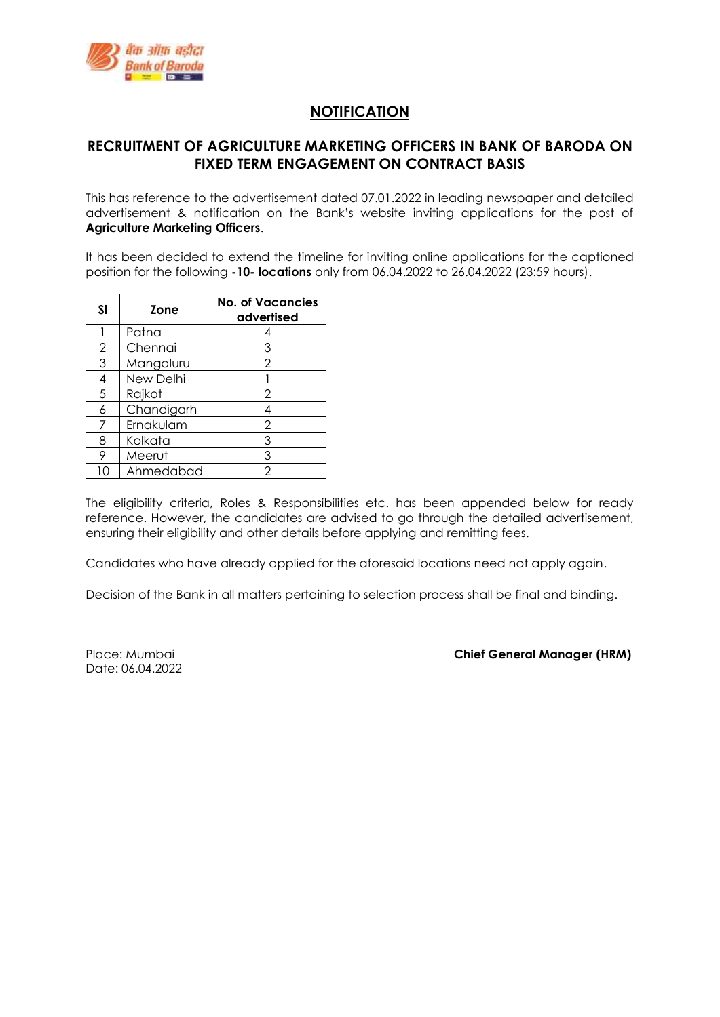

## **NOTIFICATION**

## **RECRUITMENT OF AGRICULTURE MARKETING OFFICERS IN BANK OF BARODA ON FIXED TERM ENGAGEMENT ON CONTRACT BASIS**

This has reference to the advertisement dated 07.01.2022 in leading newspaper and detailed advertisement & notification on the Bank's website inviting applications for the post of **Agriculture Marketing Officers**.

It has been decided to extend the timeline for inviting online applications for the captioned position for the following **-10- locations** only from 06.04.2022 to 26.04.2022 (23:59 hours).

| SI             | Zone       | <b>No. of Vacancies</b><br>advertised |
|----------------|------------|---------------------------------------|
|                | Patna      |                                       |
| $\overline{2}$ | Chennai    | 3                                     |
| 3              | Mangaluru  | 2                                     |
| 4              | New Delhi  |                                       |
| .5             | Rajkot     | 2                                     |
| 6              | Chandigarh |                                       |
|                | Ernakulam  | $\overline{2}$                        |
| 8              | Kolkata    | 3                                     |
| 9              | Meerut     | 3                                     |
| 10             | Ahmedabad  | $\overline{2}$                        |

The eligibility criteria, Roles & Responsibilities etc. has been appended below for ready reference. However, the candidates are advised to go through the detailed advertisement, ensuring their eligibility and other details before applying and remitting fees.

Candidates who have already applied for the aforesaid locations need not apply again.

Decision of the Bank in all matters pertaining to selection process shall be final and binding.

Date: 06.04.2022

Place: Mumbai **Chief General Manager (HRM)**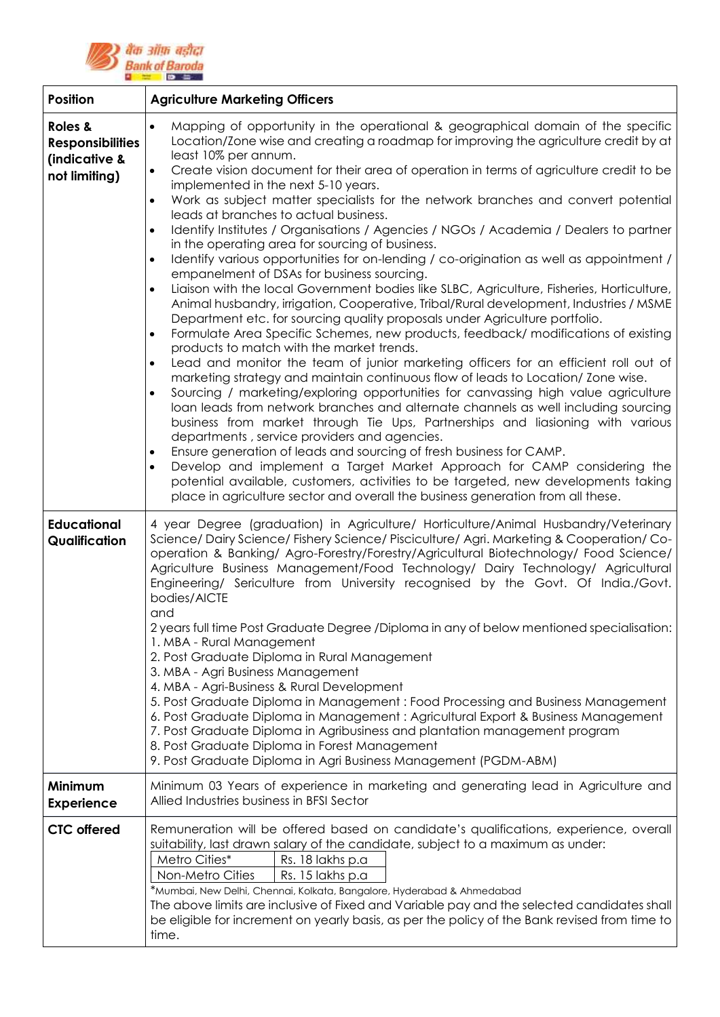

| <b>Position</b>                                                      | <b>Agriculture Marketing Officers</b>                                                                                                                                                                                                                                                                                                                                                                                                                                                                                                                                                                                                                                                                                                                                                                                                                                                                                                                                                                                                                                                                                                                                                                                                                                                                                                                                                                                                                                                                                                                                                                                                                                                                                                                                                                                                                                                                                                                                                                                   |  |
|----------------------------------------------------------------------|-------------------------------------------------------------------------------------------------------------------------------------------------------------------------------------------------------------------------------------------------------------------------------------------------------------------------------------------------------------------------------------------------------------------------------------------------------------------------------------------------------------------------------------------------------------------------------------------------------------------------------------------------------------------------------------------------------------------------------------------------------------------------------------------------------------------------------------------------------------------------------------------------------------------------------------------------------------------------------------------------------------------------------------------------------------------------------------------------------------------------------------------------------------------------------------------------------------------------------------------------------------------------------------------------------------------------------------------------------------------------------------------------------------------------------------------------------------------------------------------------------------------------------------------------------------------------------------------------------------------------------------------------------------------------------------------------------------------------------------------------------------------------------------------------------------------------------------------------------------------------------------------------------------------------------------------------------------------------------------------------------------------------|--|
| Roles &<br><b>Responsibilities</b><br>(indicative &<br>not limiting) | Mapping of opportunity in the operational & geographical domain of the specific<br>$\bullet$<br>Location/Zone wise and creating a roadmap for improving the agriculture credit by at<br>least 10% per annum.<br>Create vision document for their area of operation in terms of agriculture credit to be<br>implemented in the next 5-10 years.<br>Work as subject matter specialists for the network branches and convert potential<br>leads at branches to actual business.<br>Identify Institutes / Organisations / Agencies / NGOs / Academia / Dealers to partner<br>in the operating area for sourcing of business.<br>Identify various opportunities for on-lending / co-origination as well as appointment /<br>empanelment of DSAs for business sourcing.<br>Liaison with the local Government bodies like SLBC, Agriculture, Fisheries, Horticulture,<br>Animal husbandry, irrigation, Cooperative, Tribal/Rural development, Industries / MSME<br>Department etc. for sourcing quality proposals under Agriculture portfolio.<br>Formulate Area Specific Schemes, new products, feedback/ modifications of existing<br>products to match with the market trends.<br>Lead and monitor the team of junior marketing officers for an efficient roll out of<br>$\bullet$<br>marketing strategy and maintain continuous flow of leads to Location/Zone wise.<br>Sourcing / marketing/exploring opportunities for canvassing high value agriculture<br>loan leads from network branches and alternate channels as well including sourcing<br>business from market through Tie Ups, Partnerships and liasioning with various<br>departments, service providers and agencies.<br>Ensure generation of leads and sourcing of fresh business for CAMP.<br>Develop and implement a Target Market Approach for CAMP considering the<br>$\bullet$<br>potential available, customers, activities to be targeted, new developments taking<br>place in agriculture sector and overall the business generation from all these. |  |
| <b>Educational</b><br>Qualification                                  | 4 year Degree (graduation) in Agriculture/ Horticulture/Animal Husbandry/Veterinary<br>Science/Dairy Science/Fishery Science/Pisciculture/Agri. Marketing & Cooperation/Co-<br>operation & Banking/ Agro-Forestry/Forestry/Agricultural Biotechnology/ Food Science/<br>Agriculture Business Management/Food Technology/ Dairy Technology/ Agricultural<br>Engineering/ Sericulture from University recognised by the Govt. Of India./Govt.<br>bodies/AICTE<br>and<br>2 years full time Post Graduate Degree /Diploma in any of below mentioned specialisation:<br>1. MBA - Rural Management<br>2. Post Graduate Diploma in Rural Management<br>3. MBA - Agri Business Management<br>4. MBA - Agri-Business & Rural Development<br>5. Post Graduate Diploma in Management : Food Processing and Business Management<br>6. Post Graduate Diploma in Management : Agricultural Export & Business Management<br>7. Post Graduate Diploma in Agribusiness and plantation management program<br>8. Post Graduate Diploma in Forest Management<br>9. Post Graduate Diploma in Agri Business Management (PGDM-ABM)                                                                                                                                                                                                                                                                                                                                                                                                                                                                                                                                                                                                                                                                                                                                                                                                                                                                                                             |  |
| Minimum<br><b>Experience</b>                                         | Minimum 03 Years of experience in marketing and generating lead in Agriculture and<br>Allied Industries business in BFSI Sector                                                                                                                                                                                                                                                                                                                                                                                                                                                                                                                                                                                                                                                                                                                                                                                                                                                                                                                                                                                                                                                                                                                                                                                                                                                                                                                                                                                                                                                                                                                                                                                                                                                                                                                                                                                                                                                                                         |  |
| <b>CTC</b> offered                                                   | Remuneration will be offered based on candidate's qualifications, experience, overall<br>suitability, last drawn salary of the candidate, subject to a maximum as under:<br>Metro Cities*<br>Rs. 18 lakhs p.a<br>Non-Metro Cities<br>Rs. 15 lakhs p.a<br>*Mumbai, New Delhi, Chennai, Kolkata, Bangalore, Hyderabad & Ahmedabad<br>The above limits are inclusive of Fixed and Variable pay and the selected candidates shall<br>be eligible for increment on yearly basis, as per the policy of the Bank revised from time to<br>time.                                                                                                                                                                                                                                                                                                                                                                                                                                                                                                                                                                                                                                                                                                                                                                                                                                                                                                                                                                                                                                                                                                                                                                                                                                                                                                                                                                                                                                                                                 |  |